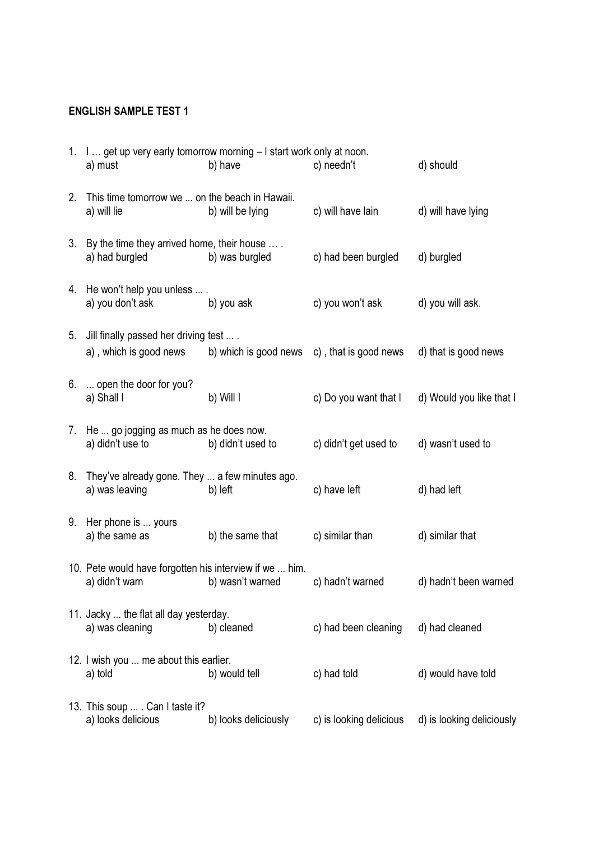## ENGLISH SAMPLE TEST 1

|    | 1. I  get up very early tomorrow morning - I start work only at noon.<br>a) must | b) have               | c) needn't              | d) should                 |
|----|----------------------------------------------------------------------------------|-----------------------|-------------------------|---------------------------|
| 2. | This time tomorrow we  on the beach in Hawaii.<br>a) will lie                    | b) will be lying      | c) will have lain       | d) will have lying        |
|    | 3. By the time they arrived home, their house<br>a) had burgled                  | b) was burgled        | c) had been burgled     | d) burgled                |
|    | 4. He won't help you unless  .<br>a) you don't ask                               | b) you ask            | c) you won't ask        | d) you will ask.          |
| 5. | Jill finally passed her driving test  .<br>a), which is good news                | b) which is good news | c), that is good news   | d) that is good news      |
| 6. | open the door for you?<br>a) Shall I                                             | b) Will I             | c) Do you want that I   | d) Would you like that I  |
| 7. | He  go jogging as much as he does now.<br>a) didn't use to                       | b) didn't used to     | c) didn't get used to   | d) wasn't used to         |
| 8. | They've already gone. They  a few minutes ago.<br>a) was leaving                 | b) left               | c) have left            | d) had left               |
| 9. | Her phone is  yours<br>a) the same as                                            | b) the same that      | c) similar than         | d) similar that           |
|    | 10. Pete would have forgotten his interview if we  him.<br>a) didn't warn        | b) wasn't warned      | c) hadn't warned        | d) hadn't been warned     |
|    | 11. Jacky  the flat all day yesterday.<br>a) was cleaning                        | b) cleaned            | c) had been cleaning    | d) had cleaned            |
|    | 12. I wish you  me about this earlier.<br>a) told                                | b) would tell         | c) had told             | d) would have told        |
|    | 13. This soup  . Can I taste it?<br>a) looks delicious                           | b) looks deliciously  | c) is looking delicious | d) is looking deliciously |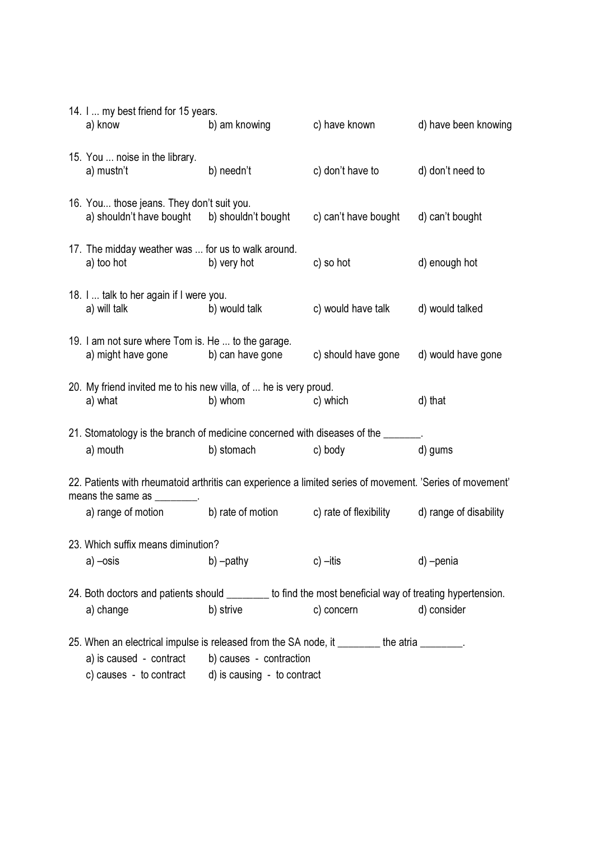|                                                                                                                                          | 14. I  my best friend for 15 years.<br>a) know                                                         | b) am knowing                                          | c) have known        | d) have been knowing |  |  |  |
|------------------------------------------------------------------------------------------------------------------------------------------|--------------------------------------------------------------------------------------------------------|--------------------------------------------------------|----------------------|----------------------|--|--|--|
|                                                                                                                                          | 15. You  noise in the library.<br>a) mustn't                                                           | b) needn't                                             | c) don't have to     | d) don't need to     |  |  |  |
|                                                                                                                                          | 16. You those jeans. They don't suit you.<br>a) shouldn't have bought b) shouldn't bought              |                                                        | c) can't have bought | d) can't bought      |  |  |  |
|                                                                                                                                          | 17. The midday weather was  for us to walk around.<br>a) too hot                                       | b) very hot                                            | c) so hot            | d) enough hot        |  |  |  |
|                                                                                                                                          | 18. I  talk to her again if I were you.<br>a) will talk                                                | b) would talk                                          | c) would have talk   | d) would talked      |  |  |  |
|                                                                                                                                          | 19. I am not sure where Tom is. He  to the garage.<br>a) might have gone b) can have gone              |                                                        | c) should have gone  | d) would have gone   |  |  |  |
|                                                                                                                                          | 20. My friend invited me to his new villa, of  he is very proud.<br>a) what                            | b) whom                                                | c) which             | d) that              |  |  |  |
|                                                                                                                                          | 21. Stomatology is the branch of medicine concerned with diseases of the ______                        |                                                        |                      |                      |  |  |  |
|                                                                                                                                          | a) mouth                                                                                               | b) stomach                                             | c) body              | d) gums              |  |  |  |
| 22. Patients with rheumatoid arthritis can experience a limited series of movement. 'Series of movement'<br>means the same as _________. |                                                                                                        |                                                        |                      |                      |  |  |  |
|                                                                                                                                          | a) range of motion b) rate of motion c) rate of flexibility d) range of disability                     |                                                        |                      |                      |  |  |  |
| 23. Which suffix means diminution?                                                                                                       |                                                                                                        |                                                        |                      |                      |  |  |  |
|                                                                                                                                          | a) –osis                                                                                               | b) -pathy                                              | $c$ ) $-$ itis       | d) -penia            |  |  |  |
|                                                                                                                                          | 24. Both doctors and patients should _______ to find the most beneficial way of treating hypertension. |                                                        |                      |                      |  |  |  |
|                                                                                                                                          | a) change                                                                                              | b) strive                                              | c) concern           | d) consider          |  |  |  |
|                                                                                                                                          |                                                                                                        |                                                        |                      |                      |  |  |  |
|                                                                                                                                          | 25. When an electrical impulse is released from the SA node, it _______ the atria ______.              |                                                        |                      |                      |  |  |  |
|                                                                                                                                          | a) is caused - contract<br>c) causes - to contract                                                     | b) causes - contraction<br>d) is causing - to contract |                      |                      |  |  |  |
|                                                                                                                                          |                                                                                                        |                                                        |                      |                      |  |  |  |